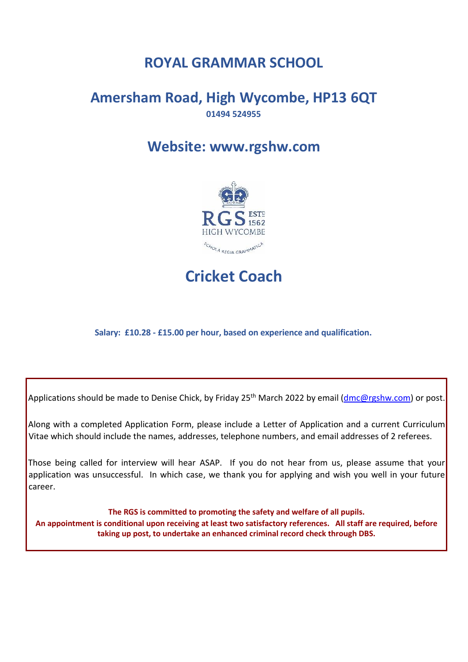# **ROYAL GRAMMAR SCHOOL**

### **Amersham Road, High Wycombe, HP13 6QT 01494 524955**

## **Website: www.rgshw.com**



**Cricket Coach**

**Salary: £10.28 - £15.00 per hour, based on experience and qualification.**

Applications should be made to Denise Chick, by Friday 25<sup>th</sup> March 2022 by email (dmc@rgshw.com) or post.

Along with a completed Application Form, please include a Letter of Application and a current Curriculum Vitae which should include the names, addresses, telephone numbers, and email addresses of 2 referees.

Those being called for interview will hear ASAP. If you do not hear from us, please assume that your application was unsuccessful. In which case, we thank you for applying and wish you well in your future career.

**The RGS is committed to promoting the safety and welfare of all pupils.**

**An appointment is conditional upon receiving at least two satisfactory references. All staff are required, before taking up post, to undertake an enhanced criminal record check through DBS.**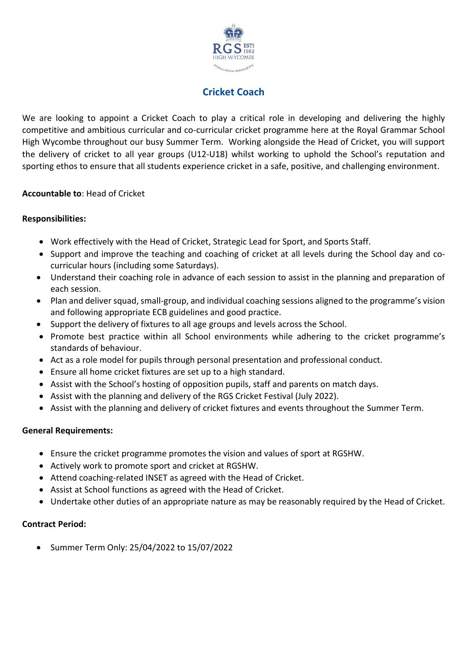

### **Cricket Coach**

We are looking to appoint a Cricket Coach to play a critical role in developing and delivering the highly competitive and ambitious curricular and co-curricular cricket programme here at the Royal Grammar School High Wycombe throughout our busy Summer Term. Working alongside the Head of Cricket, you will support the delivery of cricket to all year groups (U12-U18) whilst working to uphold the School's reputation and sporting ethos to ensure that all students experience cricket in a safe, positive, and challenging environment.

#### **Accountable to**: Head of Cricket

#### **Responsibilities:**

- Work effectively with the Head of Cricket, Strategic Lead for Sport, and Sports Staff.
- Support and improve the teaching and coaching of cricket at all levels during the School day and cocurricular hours (including some Saturdays).
- Understand their coaching role in advance of each session to assist in the planning and preparation of each session.
- Plan and deliver squad, small-group, and individual coaching sessions aligned to the programme's vision and following appropriate ECB guidelines and good practice.
- Support the delivery of fixtures to all age groups and levels across the School.
- Promote best practice within all School environments while adhering to the cricket programme's standards of behaviour.
- Act as a role model for pupils through personal presentation and professional conduct.
- Ensure all home cricket fixtures are set up to a high standard.
- Assist with the School's hosting of opposition pupils, staff and parents on match days.
- Assist with the planning and delivery of the RGS Cricket Festival (July 2022).
- Assist with the planning and delivery of cricket fixtures and events throughout the Summer Term.

#### **General Requirements:**

- Ensure the cricket programme promotes the vision and values of sport at RGSHW.
- Actively work to promote sport and cricket at RGSHW.
- Attend coaching-related INSET as agreed with the Head of Cricket.
- Assist at School functions as agreed with the Head of Cricket.
- Undertake other duties of an appropriate nature as may be reasonably required by the Head of Cricket.

#### **Contract Period:**

• Summer Term Only: 25/04/2022 to 15/07/2022